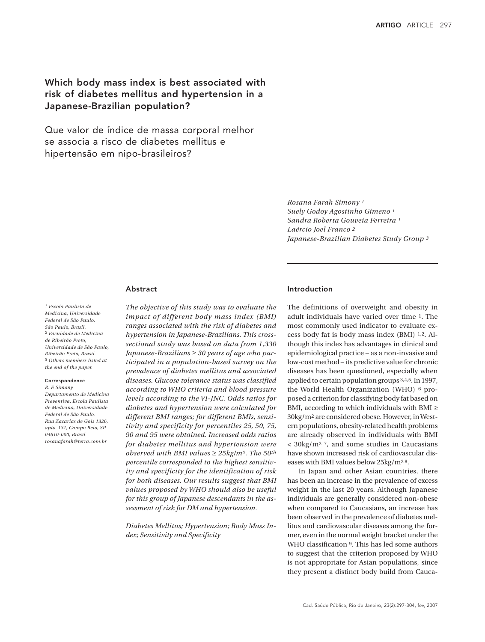# Which body mass index is best associated with risk of diabetes mellitus and hypertension in a Japanese-Brazilian population?

Que valor de índice de massa corporal melhor se associa a risco de diabetes mellitus e hipertensão em nipo-brasileiros?

> *Rosana Farah Simony 1 Suely Godoy Agostinho Gimeno 1 Sandra Roberta Gouveia Ferreira 1 Laércio Joel Franco 2 Japanese-Brazilian Diabetes Study Group 3*

#### Abstract

*1 Escola Paulista de Medicina, Universidade Federal de São Paulo, São Paulo, Brasil. 2 Faculdade de Medicina de Ribeirão Preto, Universidade de São Paulo, Ribeirão Preto, Brasil. 3 Others members listed at the end of the paper.*

#### Correspondence *R. F. Simony*

*Departamento de Medicina Preventiva, Escola Paulista de Medicina, Universidade Federal de São Paulo. Rua Zacarias de Gois 1326, apto. 131, Campo Belo, SP 04610-000, Brasil. rosanafarah@terra.com.br*

*The objective of this study was to evaluate the impact of different body mass index (BMI) ranges associated with the risk of diabetes and hypertension in Japanese-Brazilians. This crosssectional study was based on data from 1,330 Japanese-Brazilians* ≥ *30 years of age who participated in a population-based survey on the prevalence of diabetes mellitus and associated diseases. Glucose tolerance status was classified according to WHO criteria and blood pressure levels according to the VI-JNC. Odds ratios for diabetes and hypertension were calculated for different BMI ranges; for different BMIs, sensitivity and specificity for percentiles 25, 50, 75, 90 and 95 were obtained. Increased odds ratios for diabetes mellitus and hypertension were observed with BMI values* ≥ *25kg/m2. The 50th percentile corresponded to the highest sensitivity and specificity for the identification of risk for both diseases. Our results suggest that BMI values proposed by WHO should also be useful for this group of Japanese descendants in the assessment of risk for DM and hypertension.*

*Diabetes Mellitus; Hypertension; Body Mass Index; Sensitivity and Specificity*

# Introduction

The definitions of overweight and obesity in adult individuals have varied over time 1. The most commonly used indicator to evaluate excess body fat is body mass index (BMI) 1,2. Although this index has advantages in clinical and epidemiological practice – as a non-invasive and low-cost method – its predictive value for chronic diseases has been questioned, especially when applied to certain population groups 3,4,5. In 1997, the World Health Organization (WHO) 6 proposed a criterion for classifying body fat based on BMI, according to which individuals with BMI  $\geq$ 30kg/m2 are considered obese. However, in Western populations, obesity-related health problems are already observed in individuals with BMI < 30kg/m2 7, and some studies in Caucasians have shown increased risk of cardiovascular diseases with BMI values below 25kg/m2 8.

In Japan and other Asian countries, there has been an increase in the prevalence of excess weight in the last 20 years. Although Japanese individuals are generally considered non-obese when compared to Caucasians, an increase has been observed in the prevalence of diabetes mellitus and cardiovascular diseases among the former, even in the normal weight bracket under the WHO classification 9. This has led some authors to suggest that the criterion proposed by WHO is not appropriate for Asian populations, since they present a distinct body build from Cauca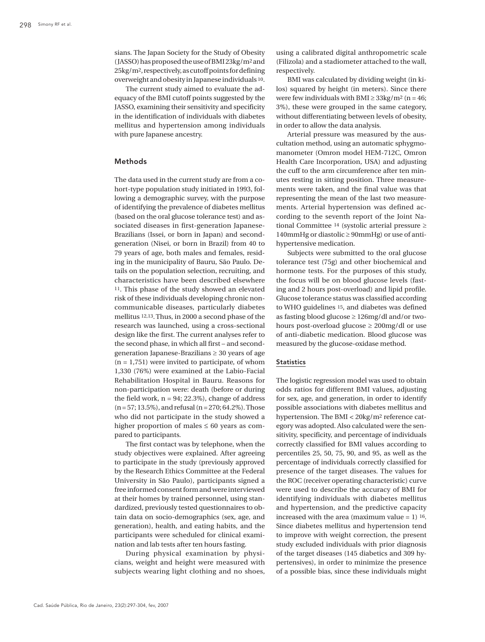sians. The Japan Society for the Study of Obesity (JASSO) has proposed the use of BMI 23kg/m2 and 25kg/m2, respectively, as cutoff points for defining overweight and obesity in Japanese individuals 10.

The current study aimed to evaluate the adequacy of the BMI cutoff points suggested by the JASSO, examining their sensitivity and specificity in the identification of individuals with diabetes mellitus and hypertension among individuals with pure Japanese ancestry.

# Methods

The data used in the current study are from a cohort-type population study initiated in 1993, following a demographic survey, with the purpose of identifying the prevalence of diabetes mellitus (based on the oral glucose tolerance test) and associated diseases in first-generation Japanese-Brazilians (Issei, or born in Japan) and secondgeneration (Nisei, or born in Brazil) from 40 to 79 years of age, both males and females, residing in the municipality of Bauru, São Paulo. Details on the population selection, recruiting, and characteristics have been described elsewhere 11. This phase of the study showed an elevated risk of these individuals developing chronic noncommunicable diseases, particularly diabetes mellitus 12,13.Thus, in 2000 a second phase of the research was launched, using a cross-sectional design like the first. The current analyses refer to the second phase, in which all first – and secondgeneration Japanese-Brazilians  $\geq 30$  years of age  $(n = 1,751)$  were invited to participate, of whom 1,330 (76%) were examined at the Labio-Facial Rehabilitation Hospital in Bauru. Reasons for non-participation were: death (before or during the field work,  $n = 94$ ; 22.3%), change of address  $(n = 57; 13.5\%)$ , and refusal  $(n = 270; 64.2\%)$ . Those who did not participate in the study showed a higher proportion of males  $\leq 60$  years as compared to participants.

The first contact was by telephone, when the study objectives were explained. After agreeing to participate in the study (previously approved by the Research Ethics Committee at the Federal University in São Paulo), participants signed a free informed consent form and were interviewed at their homes by trained personnel, using standardized, previously tested questionnaires to obtain data on socio-demographics (sex, age, and generation), health, and eating habits, and the participants were scheduled for clinical examination and lab tests after ten hours fasting.

During physical examination by physicians, weight and height were measured with subjects wearing light clothing and no shoes, using a calibrated digital anthropometric scale (Filizola) and a stadiometer attached to the wall, respectively.

BMI was calculated by dividing weight (in kilos) squared by height (in meters). Since there were few individuals with BMI  $\geq$  33kg/m<sup>2</sup> (n = 46; 3%), these were grouped in the same category, without differentiating between levels of obesity, in order to allow the data analysis.

Arterial pressure was measured by the auscultation method, using an automatic sphygmomanometer (Omron model HEM-712C, Omron Health Care Incorporation, USA) and adjusting the cuff to the arm circumference after ten minutes resting in sitting position. Three measurements were taken, and the final value was that representing the mean of the last two measurements. Arterial hypertension was defined according to the seventh report of the Joint National Committee 14 (systolic arterial pressure ≥  $140$ mmHg or diastolic  $\geq 90$ mmHg) or use of antihypertensive medication.

Subjects were submitted to the oral glucose tolerance test (75g) and other biochemical and hormone tests. For the purposes of this study, the focus will be on blood glucose levels (fasting and 2 hours post-overload) and lipid profile. Glucose tolerance status was classified according to WHO guidelines 15, and diabetes was defined as fasting blood glucose  $\geq 126$ mg/dl and/or twohours post-overload glucose  $\geq 200$ mg/dl or use of anti-diabetic medication. Blood glucose was measured by the glucose-oxidase method.

#### Statistics

The logistic regression model was used to obtain odds ratios for different BMI values, adjusting for sex, age, and generation, in order to identify possible associations with diabetes mellitus and hypertension. The BMI < 20kg/m2 reference category was adopted. Also calculated were the sensitivity, specificity, and percentage of individuals correctly classified for BMI values according to percentiles 25, 50, 75, 90, and 95, as well as the percentage of individuals correctly classified for presence of the target diseases. The values for the ROC (receiver operating characteristic) curve were used to describe the accuracy of BMI for identifying individuals with diabetes mellitus and hypertension, and the predictive capacity increased with the area (maximum value  $= 1$ ) <sup>16</sup>. Since diabetes mellitus and hypertension tend to improve with weight correction, the present study excluded individuals with prior diagnosis of the target diseases (145 diabetics and 309 hypertensives), in order to minimize the presence of a possible bias, since these individuals might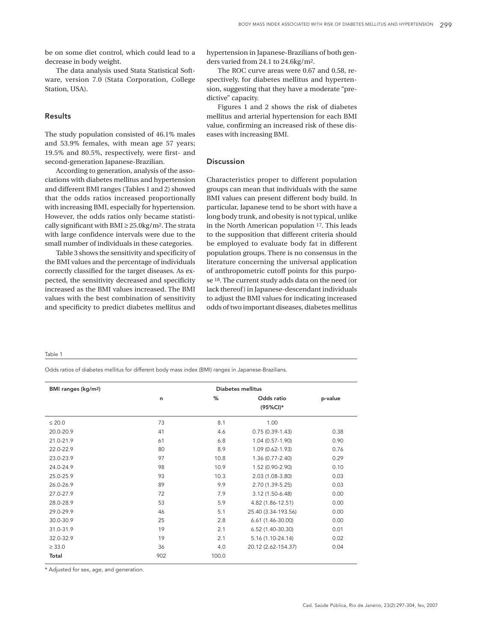be on some diet control, which could lead to a decrease in body weight.

The data analysis used Stata Statistical Software, version 7.0 (Stata Corporation, College Station, USA).

# Results

The study population consisted of 46.1% males and 53.9% females, with mean age 57 years; 19.5% and 80.5%, respectively, were first- and second-generation Japanese-Brazilian.

According to generation, analysis of the associations with diabetes mellitus and hypertension and different BMI ranges (Tables 1 and 2) showed that the odds ratios increased proportionally with increasing BMI, especially for hypertension. However, the odds ratios only became statistically significant with BMI  $\geq$  25.0kg/m<sup>2</sup>. The strata with large confidence intervals were due to the small number of individuals in these categories.

Table 3 shows the sensitivity and specificity of the BMI values and the percentage of individuals correctly classified for the target diseases. As expected, the sensitivity decreased and specificity increased as the BMI values increased. The BMI values with the best combination of sensitivity and specificity to predict diabetes mellitus and hypertension in Japanese-Brazilians of both genders varied from 24.1 to 24.6kg/m2.

The ROC curve areas were 0.67 and 0.58, respectively, for diabetes mellitus and hypertension, suggesting that they have a moderate "predictive" capacity.

Figures 1 and 2 shows the risk of diabetes mellitus and arterial hypertension for each BMI value, confirming an increased risk of these diseases with increasing BMI.

## Discussion

Characteristics proper to different population groups can mean that individuals with the same BMI values can present different body build. In particular, Japanese tend to be short with have a long body trunk, and obesity is not typical, unlike in the North American population 17. This leads to the supposition that different criteria should be employed to evaluate body fat in different population groups. There is no consensus in the literature concerning the universal application of anthropometric cutoff points for this purpose 18. The current study adds data on the need (or lack thereof) in Japanese-descendant individuals to adjust the BMI values for indicating increased odds of two important diseases, diabetes mellitus

Table 1

Odds ratios of diabetes mellitus for different body mass index (BMI) ranges in Japanese-Brazilians.

| BMI ranges (kg/m <sup>2</sup> ) | <b>Diabetes mellitus</b> |       |                     |         |  |
|---------------------------------|--------------------------|-------|---------------------|---------|--|
|                                 | n                        | %     | Odds ratio          | p-value |  |
|                                 |                          |       | (95%CI)*            |         |  |
| $\leq 20.0$                     | 73                       | 8.1   | 1.00                |         |  |
| 20.0-20.9                       | 41                       | 4.6   | $0.75(0.39-1.43)$   | 0.38    |  |
| 21.0-21.9                       | 61                       | 6.8   | 1.04 (0.57-1.90)    | 0.90    |  |
| 22.0-22.9                       | 80                       | 8.9   | 1.09 (0.62-1.93)    | 0.76    |  |
| 23.0-23.9                       | 97                       | 10.8  | 1.36 (0.77-2.40)    | 0.29    |  |
| 24.0-24.9                       | 98                       | 10.9  | 1.52 (0.90-2.90)    | 0.10    |  |
| 25.0-25.9                       | 93                       | 10.3  | 2.03 (1.08-3.80)    | 0.03    |  |
| 26.0-26.9                       | 89                       | 9.9   | 2.70 (1.39-5.25)    | 0.03    |  |
| 27.0-27.9                       | 72                       | 7.9   | $3.12(1.50-6.48)$   | 0.00    |  |
| 28.0-28.9                       | 53                       | 5.9   | 4.82 (1.86-12.51)   | 0.00    |  |
| 29.0-29.9                       | 46                       | 5.1   | 25.40 (3.34-193.56) | 0.00    |  |
| 30.0-30.9                       | 25                       | 2.8   | 6.61 (1.46-30.00)   | 0.00    |  |
| 31.0-31.9                       | 19                       | 2.1   | 6.52 (1.40-30.30)   | 0.01    |  |
| 32.0-32.9                       | 19                       | 2.1   | 5.16 (1.10-24.14)   | 0.02    |  |
| $\geq 33.0$                     | 36                       | 4.0   | 20.12 (2.62-154.37) | 0.04    |  |
| Total                           | 902                      | 100.0 |                     |         |  |

\* Adjusted for sex, age, and generation.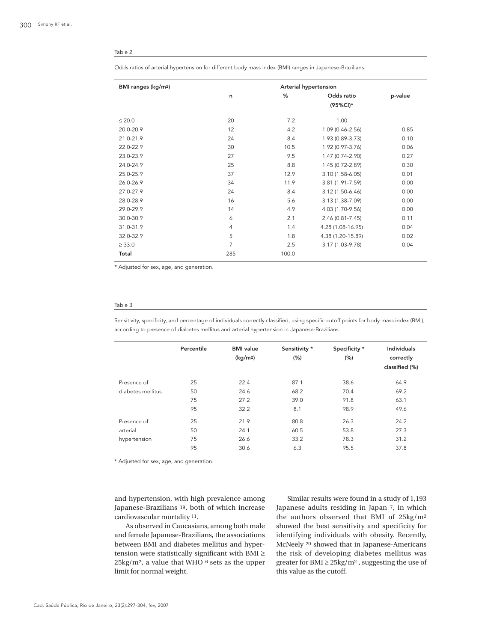#### Table 2

Odds ratios of arterial hypertension for different body mass index (BMI) ranges in Japanese-Brazilians.

| BMI ranges (kg/m <sup>2</sup> ) | Arterial hypertension |       |                   |         |  |  |
|---------------------------------|-----------------------|-------|-------------------|---------|--|--|
|                                 | n                     | %     | Odds ratio        | p-value |  |  |
|                                 |                       |       | (95%CI)*          |         |  |  |
| $\leq 20.0$                     | 20                    | 7.2   | 1.00              |         |  |  |
| 20.0-20.9                       | 12                    | 4.2   | 1.09 (0.46-2.56)  | 0.85    |  |  |
| 21.0-21.9                       | 24                    | 8.4   | 1.93 (0.89-3.73)  | 0.10    |  |  |
| 22.0-22.9                       | 30                    | 10.5  | 1.92 (0.97-3.76)  | 0.06    |  |  |
| 23.0-23.9                       | 27                    | 9.5   | 1.47 (0.74-2.90)  | 0.27    |  |  |
| 24.0-24.9                       | 25                    | 8.8   | 1.45 (0.72-2.89)  | 0.30    |  |  |
| 25.0-25.9                       | 37                    | 12.9  | 3.10 (1.58-6.05)  | 0.01    |  |  |
| 26.0-26.9                       | 34                    | 11.9  | 3.81 (1.91-7.59)  | 0.00    |  |  |
| 27.0-27.9                       | 24                    | 8.4   | $3.12(1.50-6.46)$ | 0.00    |  |  |
| 28.0-28.9                       | 16                    | 5.6   | 3.13 (1.38-7.09)  | 0.00    |  |  |
| 29.0-29.9                       | 14                    | 4.9   | 4.03 (1.70-9.56)  | 0.00    |  |  |
| 30.0-30.9                       | 6                     | 2.1   | 2.46 (0.81-7.45)  | 0.11    |  |  |
| 31.0-31.9                       | $\overline{4}$        | 1.4   | 4.28 (1.08-16.95) | 0.04    |  |  |
| 32.0-32.9                       | 5                     | 1.8   | 4.38 (1.20-15.89) | 0.02    |  |  |
| $\geq 33.0$                     | $\overline{7}$        | 2.5   | 3.17 (1.03-9.78)  | 0.04    |  |  |
| Total                           | 285                   | 100.0 |                   |         |  |  |

\* Adjusted for sex, age, and generation.

#### Table 3

Sensitivity, specificity, and percentage of individuals correctly classified, using specific cutoff points for body mass index (BMI), according to presence of diabetes mellitus and arterial hypertension in Japanese-Brazilians.

|                   | Percentile | <b>BMI</b> value<br>(kq/m <sup>2</sup> ) | Sensitivity *<br>$(\%)$ | Specificity *<br>$(\%)$ | <b>Individuals</b><br>correctly<br>classified (%) |
|-------------------|------------|------------------------------------------|-------------------------|-------------------------|---------------------------------------------------|
| Presence of       | 25         | 22.4                                     | 87.1                    | 38.6                    | 64.9                                              |
| diabetes mellitus | 50         | 24.6                                     | 68.2                    | 70.4                    | 69.2                                              |
|                   | 75         | 27.2                                     | 39.0                    | 91.8                    | 63.1                                              |
|                   | 95         | 32.2                                     | 8.1                     | 98.9                    | 49.6                                              |
| Presence of       | 25         | 21.9                                     | 80.8                    | 26.3                    | 24.2                                              |
| arterial          | 50         | 24.1                                     | 60.5                    | 53.8                    | 27.3                                              |
| hypertension      | 75         | 26.6                                     | 33.2                    | 78.3                    | 31.2                                              |
|                   | 95         | 30.6                                     | 6.3                     | 95.5                    | 37.8                                              |

\* Adjusted for sex, age, and generation.

and hypertension, with high prevalence among Japanese-Brazilians 19, both of which increase cardiovascular mortality 11.

As observed in Caucasians, among both male and female Japanese-Brazilians, the associations between BMI and diabetes mellitus and hypertension were statistically significant with BMI ≥ 25kg/m2, a value that WHO 6 sets as the upper limit for normal weight.

Similar results were found in a study of 1,193 Japanese adults residing in Japan 7, in which the authors observed that BMI of 25kg/m2 showed the best sensitivity and specificity for identifying individuals with obesity. Recently, McNeely 20 showed that in Japanese-Americans the risk of developing diabetes mellitus was greater for  $BMI \geq 25kg/m^2$ , suggesting the use of this value as the cutoff.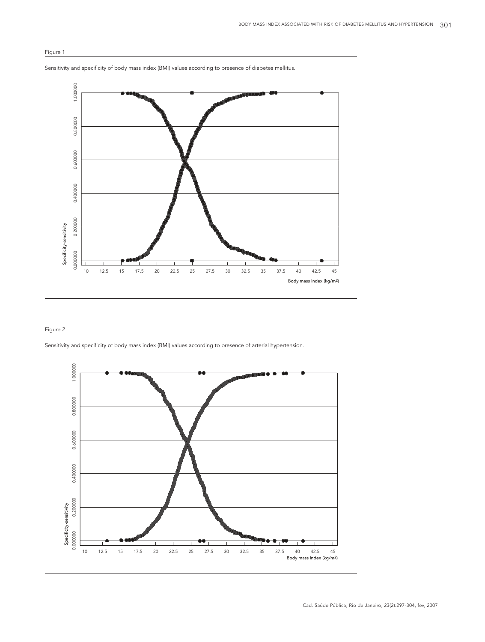

Sensitivity and specificity of body mass index (BMI) values according to presence of diabetes mellitus.



# Figure 2

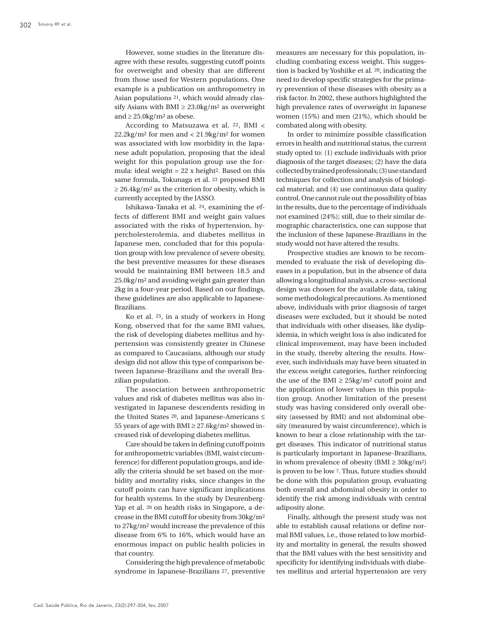However, some studies in the literature disagree with these results, suggesting cutoff points for overweight and obesity that are different from those used for Western populations. One example is a publication on anthropometry in Asian populations 21, which would already classify Asians with BMI  $\geq$  23.0kg/m<sup>2</sup> as overweight and  $\geq$  25.0kg/m<sup>2</sup> as obese.

According to Matsuzawa et al. 22, BMI <  $22.2\text{kg/m}^2$  for men and <  $21.9\text{kg/m}^2$  for women was associated with low morbidity in the Japanese adult population, proposing that the ideal weight for this population group use the formula: ideal weight  $= 22$  x height<sup>2</sup>. Based on this same formula, Tokunaga et al. 23 proposed BMI  $\geq$  26.4kg/m<sup>2</sup> as the criterion for obesity, which is currently accepted by the JASSO.

Ishikawa-Tanaka et al. 24, examining the effects of different BMI and weight gain values associated with the risks of hypertension, hypercholesterolemia, and diabetes mellitus in Japanese men, concluded that for this population group with low prevalence of severe obesity, the best preventive measures for these diseases would be maintaining BMI between 18.5 and 25.0kg/m2 and avoiding weight gain greater than 2kg in a four-year period. Based on our findings, these guidelines are also applicable to Japanese-Brazilians.

Ko et al. 25, in a study of workers in Hong Kong, observed that for the same BMI values, the risk of developing diabetes mellitus and hypertension was consistently greater in Chinese as compared to Caucasians, although our study design did not allow this type of comparison between Japanese-Brazilians and the overall Brazilian population.

The association between anthropometric values and risk of diabetes mellitus was also investigated in Japanese descendents residing in the United States 20, and Japanese-Americans ≤ 55 years of age with BMI  $\geq$  27.6kg/m<sup>2</sup> showed increased risk of developing diabetes mellitus.

Care should be taken in defining cutoff points for anthropometric variables (BMI, waist circumference) for different population groups, and ideally the criteria should be set based on the morbidity and mortality risks, since changes in the cutoff points can have significant implications for health systems. In the study by Deurenberg-Yap et al. 26 on health risks in Singapore, a decrease in the BMI cutoff for obesity from 30kg/m2 to 27kg/m2 would increase the prevalence of this disease from 6% to 16%, which would have an enormous impact on public health policies in that country.

Considering the high prevalence of metabolic syndrome in Japanese-Brazilians 27, preventive measures are necessary for this population, including combating excess weight. This suggestion is backed by Yoshiike et al. 28, indicating the need to develop specific strategies for the primary prevention of these diseases with obesity as a risk factor. In 2002, these authors highlighted the high prevalence rates of overweight in Japanese women (15%) and men (21%), which should be combated along with obesity.

In order to minimize possible classification errors in health and nutritional status, the current study opted to: (1) exclude individuals with prior diagnosis of the target diseases; (2) have the data collected by trained professionals; (3) use standard techniques for collection and analysis of biological material; and (4) use continuous data quality control. One cannot rule out the possibility of bias in the results, due to the percentage of individuals not examined (24%); still, due to their similar demographic characteristics, one can suppose that the inclusion of these Japanese-Brazilians in the study would not have altered the results.

Prospective studies are known to be recommended to evaluate the risk of developing diseases in a population, but in the absence of data allowing a longitudinal analysis, a cross-sectional design was chosen for the available data, taking some methodological precautions. As mentioned above, individuals with prior diagnosis of target diseases were excluded, but it should be noted that individuals with other diseases, like dyslipidemia, in which weight loss is also indicated for clinical improvement, may have been included in the study, thereby altering the results. However, such individuals may have been situated in the excess weight categories, further reinforcing the use of the BMI  $\geq$  25kg/m<sup>2</sup> cutoff point and the application of lower values in this population group. Another limitation of the present study was having considered only overall obesity (assessed by BMI) and not abdominal obesity (measured by waist circumference), which is known to bear a close relationship with the target diseases. This indicator of nutritional status is particularly important in Japanese-Brazilians, in whom prevalence of obesity (BMI ≥ 30kg/m2) is proven to be low 7. Thus, future studies should be done with this population group, evaluating both overall and abdominal obesity in order to identify the risk among individuals with central adiposity alone.

Finally, although the present study was not able to establish causal relations or define normal BMI values, i.e., those related to low morbidity and mortality in general, the results showed that the BMI values with the best sensitivity and specificity for identifying individuals with diabetes mellitus and arterial hypertension are very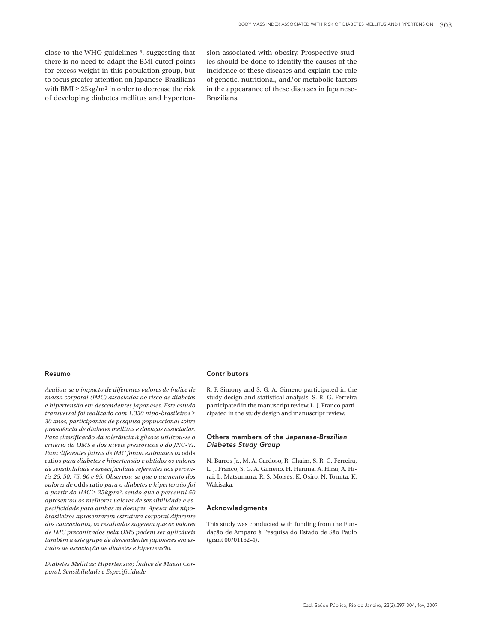close to the WHO guidelines 6, suggesting that there is no need to adapt the BMI cutoff points for excess weight in this population group, but to focus greater attention on Japanese-Brazilians with  $BMI \geq 25kg/m^2$  in order to decrease the risk of developing diabetes mellitus and hyperten-

sion associated with obesity. Prospective studies should be done to identify the causes of the incidence of these diseases and explain the role of genetic, nutritional, and/or metabolic factors in the appearance of these diseases in Japanese-Brazilians.

#### Resumo

*Avaliou-se o impacto de diferentes valores de índice de massa corporal (IMC) associados ao risco de diabetes e hipertensão em descendentes japoneses. Este estudo transversal foi realizado com 1.330 nipo-brasileiros* ≥ *30 anos, participantes de pesquisa populacional sobre prevalência de diabetes mellitus e doenças associadas. Para classificação da tolerância à glicose utilizou-se o critério da OMS e dos níveis pressóricos o do JNC-VI. Para diferentes faixas de IMC foram estimados os* odds ratios *para diabetes e hipertensão e obtidos os valores de sensibilidade e especificidade referentes aos percentis 25, 50, 75, 90 e 95. Observou-se que o aumento dos valores de* odds ratio *para o diabetes e hipertensão foi a partir do IMC* ≥ *25kg/m2, sendo que o percentil 50 apresentou os melhores valores de sensibilidade e especificidade para ambas as doenças. Apesar dos nipobrasileiros apresentarem estrutura corporal diferente dos caucasianos, os resultados sugerem que os valores de IMC preconizados pela OMS podem ser aplicáveis também a este grupo de descendentes japoneses em estudos de associação de diabetes e hipertensão.*

*Diabetes Mellitus; Hipertensão; Índice de Massa Corporal; Sensibilidade e Especificidade*

## **Contributors**

R. F. Simony and S. G. A. Gimeno participated in the study design and statistical analysis. S. R. G. Ferreira participated in the manuscript review. L. J. Franco participated in the study design and manuscript review.

### Others members of the *Japanese-Brazilian Diabetes Study Group*

N. Barros Jr., M. A. Cardoso, R. Chaim, S. R. G. Ferreira, L. J. Franco, S. G. A. Gimeno, H. Harima, A. Hirai, A. Hirai, L. Matsumura, R. S. Moisés, K. Osiro, N. Tomita, K. Wakisaka.

#### Acknowledgments

This study was conducted with funding from the Fundação de Amparo à Pesquisa do Estado de São Paulo (grant 00/01162-4).